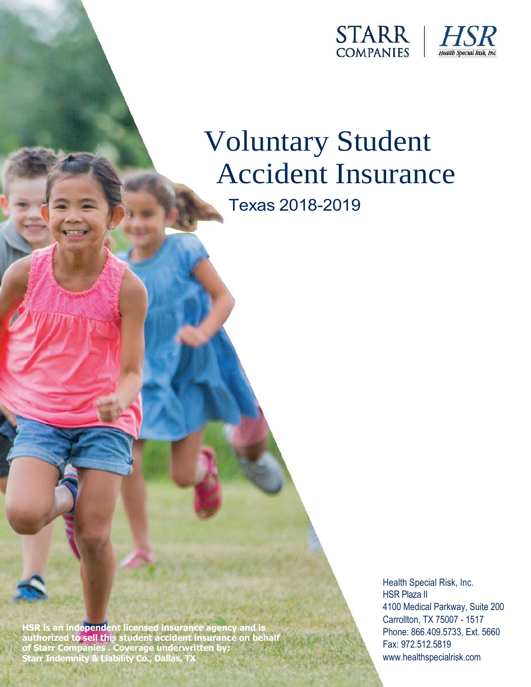



# Voluntary Student Accident Insurance

Texas 2018-2019

**HSR is an independent licensed insurance agency and is authorized to sell this student accident insurance on behalf of Starr Companies . Coverage underwritten by: Starr Indemnity & Liability Co., Dallas, TX**

Health Special Risk, Inc. HSR Plaza II 4100 Medical Parkway, Suite 200 Carrollton, TX 75007 - 1517 Phone: 866.409.5733, Ext. 5660 Fax: 972.512.5819 www.healthspecialrisk.com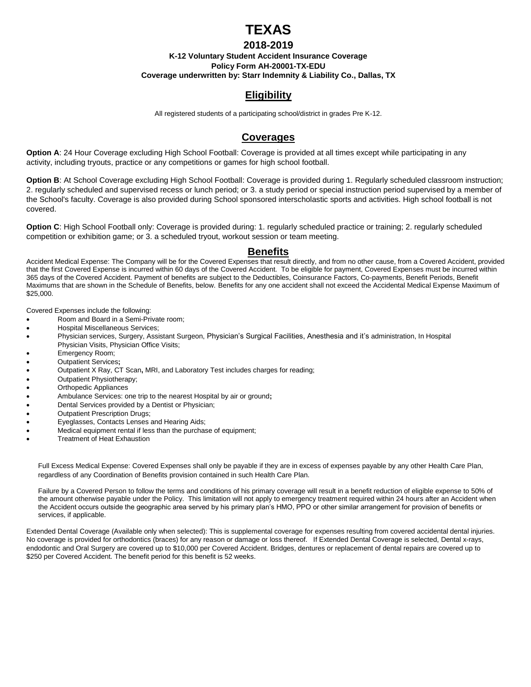# **TEXAS**

#### **2018-2019**

#### **K-12 Voluntary Student Accident Insurance Coverage Policy Form AH-20001-TX-EDU Coverage underwritten by: Starr Indemnity & Liability Co., Dallas, TX**

## **Eligibility**

All registered students of a participating school/district in grades Pre K-12.

#### **Coverages**

**Option A**: 24 Hour Coverage excluding High School Football: Coverage is provided at all times except while participating in any activity, including tryouts, practice or any competitions or games for high school football.

**Option B**: At School Coverage excluding High School Football: Coverage is provided during 1. Regularly scheduled classroom instruction; 2. regularly scheduled and supervised recess or lunch period; or 3. a study period or special instruction period supervised by a member of the School's faculty. Coverage is also provided during School sponsored interscholastic sports and activities. High school football is not covered.

**Option C**: High School Football only: Coverage is provided during: 1. regularly scheduled practice or training; 2. regularly scheduled competition or exhibition game; or 3. a scheduled tryout, workout session or team meeting.

#### **Benefits**

Accident Medical Expense: The Company will be for the Covered Expenses that result directly, and from no other cause, from a Covered Accident, provided that the first Covered Expense is incurred within 60 days of the Covered Accident. To be eligible for payment, Covered Expenses must be incurred within 365 days of the Covered Accident. Payment of benefits are subject to the Deductibles, Coinsurance Factors, Co-payments, Benefit Periods, Benefit Maximums that are shown in the Schedule of Benefits, below. Benefits for any one accident shall not exceed the Accidental Medical Expense Maximum of \$25,000.

Covered Expenses include the following:

- Room and Board in a Semi-Private room;
- Hospital Miscellaneous Services;
- Physician services, Surgery, Assistant Surgeon, Physician's Surgical Facilities, Anesthesia and it's administration, In Hospital Physician Visits, Physician Office Visits;
- Emergency Room;
- Outpatient Services**;**
- Outpatient X Ray, CT Scan**,** MRI, and Laboratory Test includes charges for reading;
- Outpatient Physiotherapy;
- Orthopedic Appliances
- Ambulance Services: one trip to the nearest Hospital by air or ground**;**
- Dental Services provided by a Dentist or Physician;
- Outpatient Prescription Drugs;
- Eyeglasses, Contacts Lenses and Hearing Aids;
- Medical equipment rental if less than the purchase of equipment;
- Treatment of Heat Exhaustion

Full Excess Medical Expense: Covered Expenses shall only be payable if they are in excess of expenses payable by any other Health Care Plan, regardless of any Coordination of Benefits provision contained in such Health Care Plan.

Failure by a Covered Person to follow the terms and conditions of his primary coverage will result in a benefit reduction of eligible expense to 50% of the amount otherwise payable under the Policy. This limitation will not apply to emergency treatment required within 24 hours after an Accident when the Accident occurs outside the geographic area served by his primary plan's HMO, PPO or other similar arrangement for provision of benefits or services, if applicable.

Extended Dental Coverage (Available only when selected): This is supplemental coverage for expenses resulting from covered accidental dental injuries. No coverage is provided for orthodontics (braces) for any reason or damage or loss thereof. If Extended Dental Coverage is selected, Dental x-rays, endodontic and Oral Surgery are covered up to \$10,000 per Covered Accident. Bridges, dentures or replacement of dental repairs are covered up to \$250 per Covered Accident. The benefit period for this benefit is 52 weeks.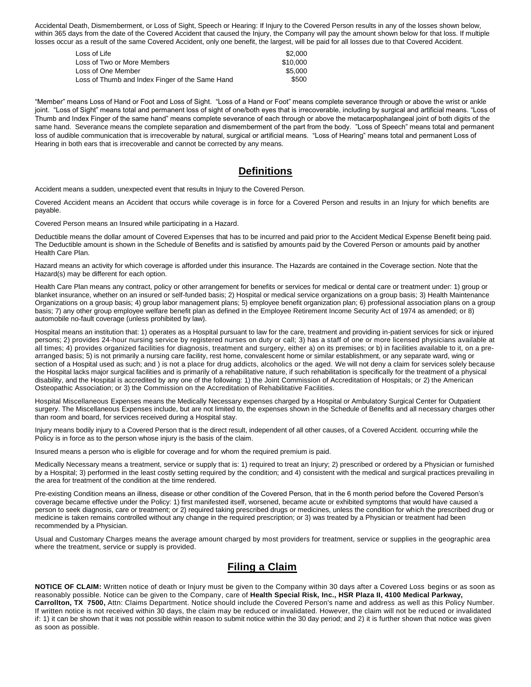Accidental Death, Dismemberment, or Loss of Sight, Speech or Hearing: If Injury to the Covered Person results in any of the losses shown below, within 365 days from the date of the Covered Accident that caused the Injury, the Company will pay the amount shown below for that loss. If multiple losses occur as a result of the same Covered Accident, only one benefit, the largest, will be paid for all losses due to that Covered Accident.

| Loss of Life                                    | \$2.000  |
|-------------------------------------------------|----------|
| Loss of Two or More Members                     | \$10,000 |
| Loss of One Member                              | \$5.000  |
| Loss of Thumb and Index Finger of the Same Hand | \$500    |

"Member" means Loss of Hand or Foot and Loss of Sight. "Loss of a Hand or Foot" means complete severance through or above the wrist or ankle joint. "Loss of Sight" means total and permanent loss of sight of one/both eyes that is irrecoverable, including by surgical and artificial means. "Loss of Thumb and Index Finger of the same hand" means complete severance of each through or above the metacarpophalangeal joint of both digits of the same hand. Severance means the complete separation and dismemberment of the part from the body. "Loss of Speech" means total and permanent loss of audible communication that is irrecoverable by natural, surgical or artificial means. "Loss of Hearing" means total and permanent Loss of Hearing in both ears that is irrecoverable and cannot be corrected by any means.

#### **Definitions**

Accident means a sudden, unexpected event that results in Injury to the Covered Person.

Covered Accident means an Accident that occurs while coverage is in force for a Covered Person and results in an Injury for which benefits are payable.

Covered Person means an Insured while participating in a Hazard.

Deductible means the dollar amount of Covered Expenses that has to be incurred and paid prior to the Accident Medical Expense Benefit being paid. The Deductible amount is shown in the Schedule of Benefits and is satisfied by amounts paid by the Covered Person or amounts paid by another Health Care Plan.

Hazard means an activity for which coverage is afforded under this insurance. The Hazards are contained in the Coverage section. Note that the Hazard(s) may be different for each option.

Health Care Plan means any contract, policy or other arrangement for benefits or services for medical or dental care or treatment under: 1) group or blanket insurance, whether on an insured or self-funded basis; 2) Hospital or medical service organizations on a group basis; 3) Health Maintenance Organizations on a group basis; 4) group labor management plans; 5) employee benefit organization plan; 6) professional association plans on a group basis; 7) any other group employee welfare benefit plan as defined in the Employee Retirement Income Security Act of 1974 as amended; or 8) automobile no-fault coverage (unless prohibited by law).

Hospital means an institution that: 1) operates as a Hospital pursuant to law for the care, treatment and providing in-patient services for sick or injured persons; 2) provides 24-hour nursing service by registered nurses on duty or call; 3) has a staff of one or more licensed physicians available at all times; 4) provides organized facilities for diagnosis, treatment and surgery, either a) on its premises; or b) in facilities available to it, on a prearranged basis; 5) is not primarily a nursing care facility, rest home, convalescent home or similar establishment, or any separate ward, wing or section of a Hospital used as such; and ) is not a place for drug addicts, alcoholics or the aged. We will not deny a claim for services solely because the Hospital lacks major surgical facilities and is primarily of a rehabilitative nature, if such rehabilitation is specifically for the treatment of a physical disability, and the Hospital is accredited by any one of the following: 1) the Joint Commission of Accreditation of Hospitals; or 2) the American Osteopathic Association; or 3) the Commission on the Accreditation of Rehabilitative Facilities.

Hospital Miscellaneous Expenses means the Medically Necessary expenses charged by a Hospital or Ambulatory Surgical Center for Outpatient surgery. The Miscellaneous Expenses include, but are not limited to, the expenses shown in the Schedule of Benefits and all necessary charges other than room and board, for services received during a Hospital stay.

Injury means bodily injury to a Covered Person that is the direct result, independent of all other causes, of a Covered Accident. occurring while the Policy is in force as to the person whose injury is the basis of the claim.

Insured means a person who is eligible for coverage and for whom the required premium is paid.

Medically Necessary means a treatment, service or supply that is: 1) required to treat an Injury; 2) prescribed or ordered by a Physician or furnished by a Hospital; 3) performed in the least costly setting required by the condition; and 4) consistent with the medical and surgical practices prevailing in the area for treatment of the condition at the time rendered.

Pre-existing Condition means an illness, disease or other condition of the Covered Person, that in the 6 month period before the Covered Person's coverage became effective under the Policy: 1) first manifested itself, worsened, became acute or exhibited symptoms that would have caused a person to seek diagnosis, care or treatment; or 2) required taking prescribed drugs or medicines, unless the condition for which the prescribed drug or medicine is taken remains controlled without any change in the required prescription; or 3) was treated by a Physician or treatment had been recommended by a Physician.

Usual and Customary Charges means the average amount charged by most providers for treatment, service or supplies in the geographic area where the treatment, service or supply is provided.

### **Filing a Claim**

**NOTICE OF CLAIM:** Written notice of death or Injury must be given to the Company within 30 days after a Covered Loss begins or as soon as reasonably possible. Notice can be given to the Company, care of **Health Special Risk, Inc., HSR Plaza II, 4100 Medical Parkway, Carrollton, TX 7500,** Attn: Claims Department. Notice should include the Covered Person's name and address as well as this Policy Number. If written notice is not received within 30 days, the claim may be reduced or invalidated. However, the claim will not be red uced or invalidated if: 1) it can be shown that it was not possible within reason to submit notice within the 30 day period; and 2) it is further shown that notice was given as soon as possible.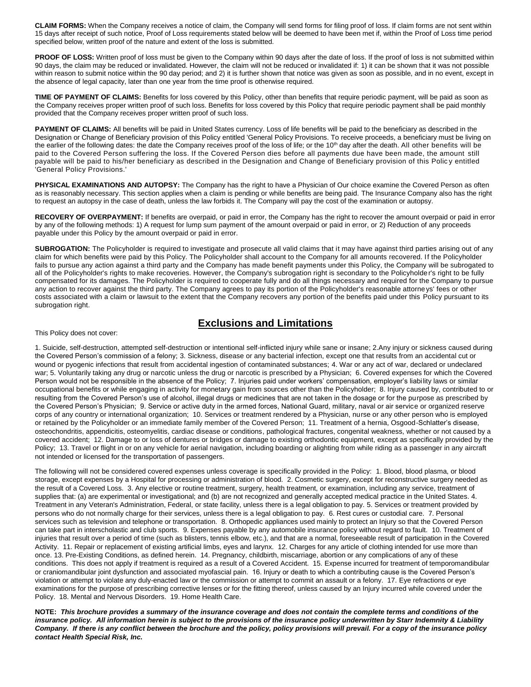**CLAIM FORMS:** When the Company receives a notice of claim, the Company will send forms for filing proof of loss. If claim forms are not sent within 15 days after receipt of such notice, Proof of Loss requirements stated below will be deemed to have been met if, within the Proof of Loss time period specified below, written proof of the nature and extent of the loss is submitted.

PROOF OF LOSS: Written proof of loss must be given to the Company within 90 days after the date of loss. If the proof of loss is not submitted within 90 days, the claim may be reduced or invalidated. However, the claim will not be reduced or invalidated if: 1) it can be shown that it was not possible within reason to submit notice within the 90 day period; and 2) it is further shown that notice was given as soon as possible, and in no event, except in the absence of legal capacity, later than one year from the time proof is otherwise required.

**TIME OF PAYMENT OF CLAIMS:** Benefits for loss covered by this Policy, other than benefits that require periodic payment, will be paid as soon as the Company receives proper written proof of such loss. Benefits for loss covered by this Policy that require periodic payment shall be paid monthly provided that the Company receives proper written proof of such loss.

PAYMENT OF CLAIMS: All benefits will be paid in United States currency. Loss of life benefits will be paid to the beneficiary as described in the Designation or Change of Beneficiary provision of this Policy entitled 'General Policy Provisions. To receive proceeds, a beneficiary must be living on the earlier of the following dates: the date the Company receives proof of the loss of life; or the 10<sup>th</sup> day after the death. All other benefits will be paid to the Covered Person suffering the loss. If the Covered Person dies before all payments due have been made, the amount still payable will be paid to his/her beneficiary as described in the Designation and Change of Beneficiary provision of this Policy entitled 'General Policy Provisions.'

PHYSICAL EXAMINATIONS AND AUTOPSY: The Company has the right to have a Physician of Our choice examine the Covered Person as often as is reasonably necessary. This section applies when a claim is pending or while benefits are being paid. The Insurance Company also has the right to request an autopsy in the case of death, unless the law forbids it. The Company will pay the cost of the examination or autopsy.

**RECOVERY OF OVERPAYMENT:** If benefits are overpaid, or paid in error, the Company has the right to recover the amount overpaid or paid in error by any of the following methods: 1) A request for lump sum payment of the amount overpaid or paid in error, or 2) Reduction of any proceeds payable under this Policy by the amount overpaid or paid in error.

**SUBROGATION:** The Policyholder is required to investigate and prosecute all valid claims that it may have against third parties arising out of any claim for which benefits were paid by this Policy. The Policyholder shall account to the Company for all amounts recovered. If the Policyholder fails to pursue any action against a third party and the Company has made benefit payments under this Policy, the Company will be subrogated to all of the Policyholder's rights to make recoveries. However, the Company's subrogation right is secondary to the Policyholder's right to be fully compensated for its damages. The Policyholder is required to cooperate fully and do all things necessary and required for the Company to pursue any action to recover against the third party. The Company agrees to pay its portion of the Policyholder's reasonable attorneys' fees or other costs associated with a claim or lawsuit to the extent that the Company recovers any portion of the benefits paid under this Policy pursuant to its subrogation right.

#### **Exclusions and Limitations**

#### This Policy does not cover:

1. Suicide, self-destruction, attempted self-destruction or intentional self-inflicted injury while sane or insane; 2.Any injury or sickness caused during the Covered Person's commission of a felony; 3. Sickness, disease or any bacterial infection, except one that results from an accidental cut or wound or pyogenic infections that result from accidental ingestion of contaminated substances; 4. War or any act of war, declared or undeclared war; 5. Voluntarily taking any drug or narcotic unless the drug or narcotic is prescribed by a Physician; 6. Covered expenses for which the Covered Person would not be responsible in the absence of the Policy; 7. Injuries paid under workers' compensation, employer's liability laws or similar occupational benefits or while engaging in activity for monetary gain from sources other than the Policyholder; 8. Injury caused by, contributed to or resulting from the Covered Person's use of alcohol, illegal drugs or medicines that are not taken in the dosage or for the purpose as prescribed by the Covered Person's Physician; 9. Service or active duty in the armed forces, National Guard, military, naval or air service or organized reserve corps of any country or international organization; 10. Services or treatment rendered by a Physician, nurse or any other person who is employed or retained by the Policyholder or an immediate family member of the Covered Person; 11. Treatment of a hernia, Osgood-Schlatter's disease, osteochondritis, appendicitis, osteomyelitis, cardiac disease or conditions, pathological fractures, congenital weakness, whether or not caused by a covered accident; 12. Damage to or loss of dentures or bridges or damage to existing orthodontic equipment, except as specifically provided by the Policy; 13. Travel or flight in or on any vehicle for aerial navigation, including boarding or alighting from while riding as a passenger in any aircraft not intended or licensed for the transportation of passengers.

The following will not be considered covered expenses unless coverage is specifically provided in the Policy: 1. Blood, blood plasma, or blood storage, except expenses by a Hospital for processing or administration of blood. 2. Cosmetic surgery, except for reconstructive surgery needed as the result of a Covered Loss. 3. Any elective or routine treatment, surgery, health treatment, or examination, including any service, treatment of supplies that: (a) are experimental or investigational; and (b) are not recognized and generally accepted medical practice in the United States. 4. Treatment in any Veteran's Administration, Federal, or state facility, unless there is a legal obligation to pay. 5. Services or treatment provided by persons who do not normally charge for their services, unless there is a legal obligation to pay. 6. Rest cures or custodial care. 7. Personal services such as television and telephone or transportation. 8. Orthopedic appliances used mainly to protect an Injury so that the Covered Person can take part in interscholastic and club sports. 9. Expenses payable by any automobile insurance policy without regard to fault. 10. Treatment of injuries that result over a period of time (such as blisters, tennis elbow, etc.), and that are a normal, foreseeable result of participation in the Covered Activity. 11. Repair or replacement of existing artificial limbs, eyes and larynx. 12. Charges for any article of clothing intended for use more than once. 13. Pre-Existing Conditions, as defined herein. 14. Pregnancy, childbirth, miscarriage, abortion or any complications of any of these conditions. This does not apply if treatment is required as a result of a Covered Accident. 15. Expense incurred for treatment of temporomandibular or craniomandibular joint dysfunction and associated myofascial pain. 16. Injury or death to which a contributing cause is the Covered Person's violation or attempt to violate any duly-enacted law or the commission or attempt to commit an assault or a felony. 17. Eye refractions or eye examinations for the purpose of prescribing corrective lenses or for the fitting thereof, unless caused by an Injury incurred while covered under the Policy. 18. Mental and Nervous Disorders. 19. Home Health Care.

**NOTE:** *This brochure provides a summary of the insurance coverage and does not contain the complete terms and conditions of the insurance policy. All information herein is subject to the provisions of the insurance policy underwritten by Starr Indemnity & Liability Company. If there is any conflict between the brochure and the policy, policy provisions will prevail. For a copy of the insurance policy contact Health Special Risk, Inc.*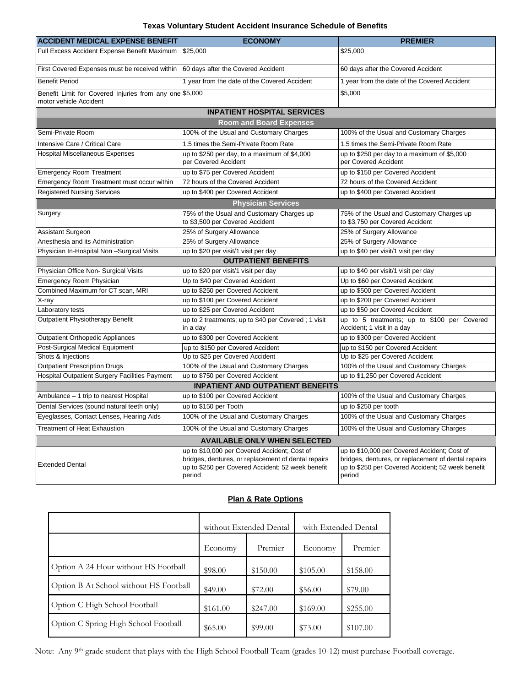#### **Texas Voluntary Student Accident Insurance Schedule of Benefits**

| <b>ACCIDENT MEDICAL EXPENSE BENEFIT</b>                                           | <b>ECONOMY</b>                                                                                                                                                     | <b>PREMIER</b>                                                                                                                                                     |
|-----------------------------------------------------------------------------------|--------------------------------------------------------------------------------------------------------------------------------------------------------------------|--------------------------------------------------------------------------------------------------------------------------------------------------------------------|
| Full Excess Accident Expense Benefit Maximum                                      | \$25,000                                                                                                                                                           | \$25,000                                                                                                                                                           |
| First Covered Expenses must be received within                                    | 60 days after the Covered Accident                                                                                                                                 | 60 days after the Covered Accident                                                                                                                                 |
| <b>Benefit Period</b>                                                             | 1 year from the date of the Covered Accident                                                                                                                       | 1 year from the date of the Covered Accident                                                                                                                       |
| Benefit Limit for Covered Injuries from any one \$5,000<br>motor vehicle Accident |                                                                                                                                                                    | \$5,000                                                                                                                                                            |
|                                                                                   | <b>INPATIENT HOSPITAL SERVICES</b>                                                                                                                                 |                                                                                                                                                                    |
|                                                                                   | <b>Room and Board Expenses</b>                                                                                                                                     |                                                                                                                                                                    |
| Semi-Private Room                                                                 | 100% of the Usual and Customary Charges                                                                                                                            | 100% of the Usual and Customary Charges                                                                                                                            |
| Intensive Care / Critical Care                                                    | 1.5 times the Semi-Private Room Rate                                                                                                                               | 1.5 times the Semi-Private Room Rate                                                                                                                               |
| <b>Hospital Miscellaneous Expenses</b>                                            | up to \$250 per day, to a maximum of \$4,000<br>per Covered Accident                                                                                               | up to \$250 per day to a maximum of \$5,000<br>per Covered Accident                                                                                                |
| <b>Emergency Room Treatment</b>                                                   | up to \$75 per Covered Accident                                                                                                                                    | up to \$150 per Covered Accident                                                                                                                                   |
| Emergency Room Treatment must occur within                                        | 72 hours of the Covered Accident                                                                                                                                   | 72 hours of the Covered Accident                                                                                                                                   |
| <b>Registered Nursing Services</b>                                                | up to \$400 per Covered Accident                                                                                                                                   | up to \$400 per Covered Accident                                                                                                                                   |
|                                                                                   | <b>Physician Services</b>                                                                                                                                          |                                                                                                                                                                    |
| Surgery                                                                           | 75% of the Usual and Customary Charges up<br>to \$3,500 per Covered Accident                                                                                       | 75% of the Usual and Customary Charges up<br>to \$3,750 per Covered Accident                                                                                       |
| Assistant Surgeon                                                                 | 25% of Surgery Allowance                                                                                                                                           | 25% of Surgery Allowance                                                                                                                                           |
| Anesthesia and its Administration                                                 | 25% of Surgery Allowance                                                                                                                                           | 25% of Surgery Allowance                                                                                                                                           |
| Physician In-Hospital Non-Surgical Visits                                         | up to \$20 per visit/1 visit per day                                                                                                                               | up to \$40 per visit/1 visit per day                                                                                                                               |
|                                                                                   | <b>OUTPATIENT BENEFITS</b>                                                                                                                                         |                                                                                                                                                                    |
| Physician Office Non- Surgical Visits                                             | up to \$20 per visit/1 visit per day                                                                                                                               | up to \$40 per visit/1 visit per day                                                                                                                               |
| <b>Emergency Room Physician</b>                                                   | Up to \$40 per Covered Accident                                                                                                                                    | Up to \$60 per Covered Accident                                                                                                                                    |
| Combined Maximum for CT scan, MRI                                                 | up to \$250 per Covered Accident                                                                                                                                   | up to \$500 per Covered Accident                                                                                                                                   |
| X-ray                                                                             | up to \$100 per Covered Accident                                                                                                                                   | up to \$200 per Covered Accident                                                                                                                                   |
| Laboratory tests                                                                  | up to \$25 per Covered Accident                                                                                                                                    | up to \$50 per Covered Accident                                                                                                                                    |
| Outpatient Physiotherapy Benefit                                                  | up to 2 treatments; up to \$40 per Covered; 1 visit<br>in a day                                                                                                    | up to 5 treatments; up to \$100 per Covered<br>Accident; 1 visit in a day                                                                                          |
| Outpatient Orthopedic Appliances                                                  | up to \$300 per Covered Accident                                                                                                                                   | up to \$300 per Covered Accident                                                                                                                                   |
| Post-Surgical Medical Equipment                                                   | up to \$150 per Covered Accident                                                                                                                                   | up to \$150 per Covered Accident                                                                                                                                   |
| Shots & Injections                                                                | Up to \$25 per Covered Accident                                                                                                                                    | Up to \$25 per Covered Accident                                                                                                                                    |
| <b>Outpatient Prescription Drugs</b>                                              | 100% of the Usual and Customary Charges                                                                                                                            | 100% of the Usual and Customary Charges                                                                                                                            |
| Hospital Outpatient Surgery Facilities Payment                                    | up to \$750 per Covered Accident                                                                                                                                   | up to \$1,250 per Covered Accident                                                                                                                                 |
|                                                                                   | <b>INPATIENT AND OUTPATIENT BENEFITS</b>                                                                                                                           |                                                                                                                                                                    |
| Ambulance - 1 trip to nearest Hospital                                            | up to \$100 per Covered Accident                                                                                                                                   | 100% of the Usual and Customary Charges                                                                                                                            |
| Dental Services (sound natural teeth only)                                        | up to \$150 per Tooth                                                                                                                                              | up to \$250 per tooth                                                                                                                                              |
| Eyeglasses, Contact Lenses, Hearing Aids                                          | 100% of the Usual and Customary Charges                                                                                                                            | 100% of the Usual and Customary Charges                                                                                                                            |
| <b>Treatment of Heat Exhaustion</b>                                               | 100% of the Usual and Customary Charges                                                                                                                            | 100% of the Usual and Customary Charges                                                                                                                            |
|                                                                                   | <b>AVAILABLE ONLY WHEN SELECTED</b>                                                                                                                                |                                                                                                                                                                    |
| <b>Extended Dental</b>                                                            | up to \$10,000 per Covered Accident; Cost of<br>bridges, dentures, or replacement of dental repairs<br>up to \$250 per Covered Accident; 52 week benefit<br>period | up to \$10,000 per Covered Accident; Cost of<br>bridges, dentures, or replacement of dental repairs<br>up to \$250 per Covered Accident; 52 week benefit<br>period |

#### **Plan & Rate Options**

|                                        | without Extended Dental |          | with Extended Dental |          |
|----------------------------------------|-------------------------|----------|----------------------|----------|
|                                        | Economy                 | Premier  | Economy              | Premier  |
| Option A 24 Hour without HS Football   | \$98.00                 | \$150.00 | \$105.00             | \$158.00 |
| Option B At School without HS Football | \$49.00                 | \$72.00  | \$56.00              | \$79.00  |
| Option C High School Football          | \$161.00                | \$247.00 | \$169.00             | \$255.00 |
| Option C Spring High School Football   | \$65.00                 | \$99.00  | \$73.00              | \$107.00 |

Note: Any 9th grade student that plays with the High School Football Team (grades 10-12) must purchase Football coverage.